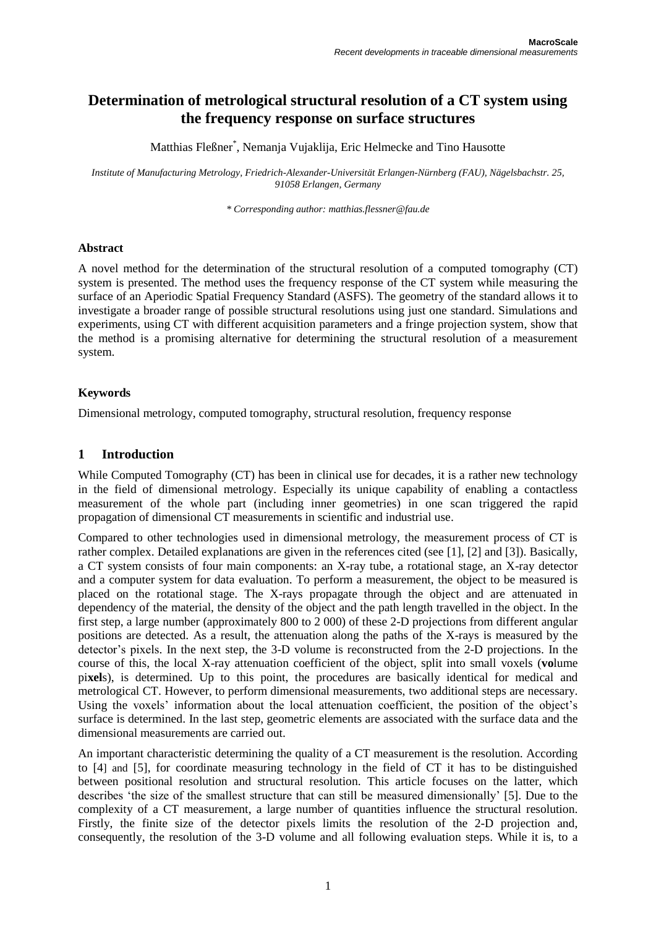# **Determination of metrological structural resolution of a CT system using the frequency response on surface structures**

Matthias Fleßner\* , Nemanja Vujaklija, Eric Helmecke and Tino Hausotte

*Institute of Manufacturing Metrology, Friedrich-Alexander-Universität Erlangen-Nürnberg (FAU), Nägelsbachstr. 25, 91058 Erlangen, Germany*

*\* Corresponding author[: matthias.flessner@fau.de](mailto:author@dummy.dum)*

#### **Abstract**

A novel method for the determination of the structural resolution of a computed tomography (CT) system is presented. The method uses the frequency response of the CT system while measuring the surface of an Aperiodic Spatial Frequency Standard (ASFS). The geometry of the standard allows it to investigate a broader range of possible structural resolutions using just one standard. Simulations and experiments, using CT with different acquisition parameters and a fringe projection system, show that the method is a promising alternative for determining the structural resolution of a measurement system.

### **Keywords**

Dimensional metrology, computed tomography, structural resolution, frequency response

### **1 Introduction**

While Computed Tomography (CT) has been in clinical use for decades, it is a rather new technology in the field of dimensional metrology. Especially its unique capability of enabling a contactless measurement of the whole part (including inner geometries) in one scan triggered the rapid propagation of dimensional CT measurements in scientific and industrial use.

Compared to other technologies used in dimensional metrology, the measurement process of CT is rather complex. Detailed explanations are given in the references cited (see [1], [2] and [3]). Basically, a CT system consists of four main components: an X-ray tube, a rotational stage, an X-ray detector and a computer system for data evaluation. To perform a measurement, the object to be measured is placed on the rotational stage. The X-rays propagate through the object and are attenuated in dependency of the material, the density of the object and the path length travelled in the object. In the first step, a large number (approximately 800 to 2 000) of these 2-D projections from different angular positions are detected. As a result, the attenuation along the paths of the X-rays is measured by the detector's pixels. In the next step, the 3-D volume is reconstructed from the 2-D projections. In the course of this, the local X-ray attenuation coefficient of the object, split into small voxels (**vo**lume pi**xel**s), is determined. Up to this point, the procedures are basically identical for medical and metrological CT. However, to perform dimensional measurements, two additional steps are necessary. Using the voxels' information about the local attenuation coefficient, the position of the object's surface is determined. In the last step, geometric elements are associated with the surface data and the dimensional measurements are carried out.

An important characteristic determining the quality of a CT measurement is the resolution. According to [4] and [5], for coordinate measuring technology in the field of CT it has to be distinguished between positional resolution and structural resolution. This article focuses on the latter, which describes 'the size of the smallest structure that can still be measured dimensionally' [5]. Due to the complexity of a CT measurement, a large number of quantities influence the structural resolution. Firstly, the finite size of the detector pixels limits the resolution of the 2-D projection and, consequently, the resolution of the 3-D volume and all following evaluation steps. While it is, to a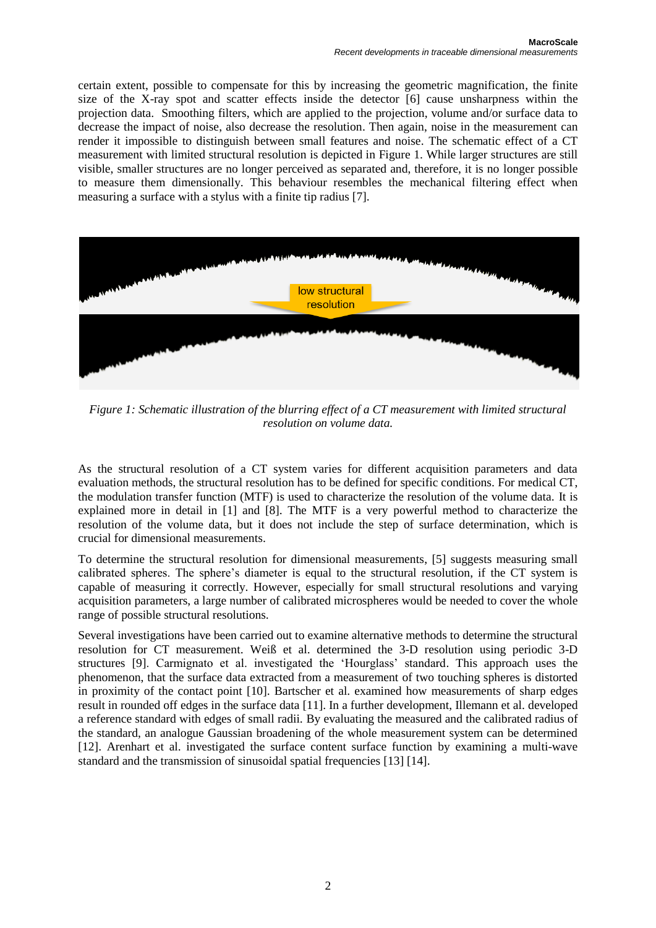certain extent, possible to compensate for this by increasing the geometric magnification, the finite size of the X-ray spot and scatter effects inside the detector [6] cause unsharpness within the projection data. Smoothing filters, which are applied to the projection, volume and/or surface data to decrease the impact of noise, also decrease the resolution. Then again, noise in the measurement can render it impossible to distinguish between small features and noise. The schematic effect of a CT measurement with limited structural resolution is depicted in [Figure 1.](#page-1-0) While larger structures are still visible, smaller structures are no longer perceived as separated and, therefore, it is no longer possible to measure them dimensionally. This behaviour resembles the mechanical filtering effect when measuring a surface with a stylus with a finite tip radius [7].



*Figure 1: Schematic illustration of the blurring effect of a CT measurement with limited structural resolution on volume data.*

<span id="page-1-0"></span>As the structural resolution of a CT system varies for different acquisition parameters and data evaluation methods, the structural resolution has to be defined for specific conditions. For medical CT, the modulation transfer function (MTF) is used to characterize the resolution of the volume data. It is explained more in detail in [1] and [8]. The MTF is a very powerful method to characterize the resolution of the volume data, but it does not include the step of surface determination, which is crucial for dimensional measurements.

To determine the structural resolution for dimensional measurements, [5] suggests measuring small calibrated spheres. The sphere's diameter is equal to the structural resolution, if the CT system is capable of measuring it correctly. However, especially for small structural resolutions and varying acquisition parameters, a large number of calibrated microspheres would be needed to cover the whole range of possible structural resolutions.

Several investigations have been carried out to examine alternative methods to determine the structural resolution for CT measurement. Weiß et al. determined the 3-D resolution using periodic 3-D structures [9]. Carmignato et al. investigated the 'Hourglass' standard. This approach uses the phenomenon, that the surface data extracted from a measurement of two touching spheres is distorted in proximity of the contact point [10]. Bartscher et al. examined how measurements of sharp edges result in rounded off edges in the surface data [11]. In a further development, Illemann et al. developed a reference standard with edges of small radii. By evaluating the measured and the calibrated radius of the standard, an analogue Gaussian broadening of the whole measurement system can be determined [12]. Arenhart et al. investigated the surface content surface function by examining a multi-wave standard and the transmission of sinusoidal spatial frequencies [13] [14].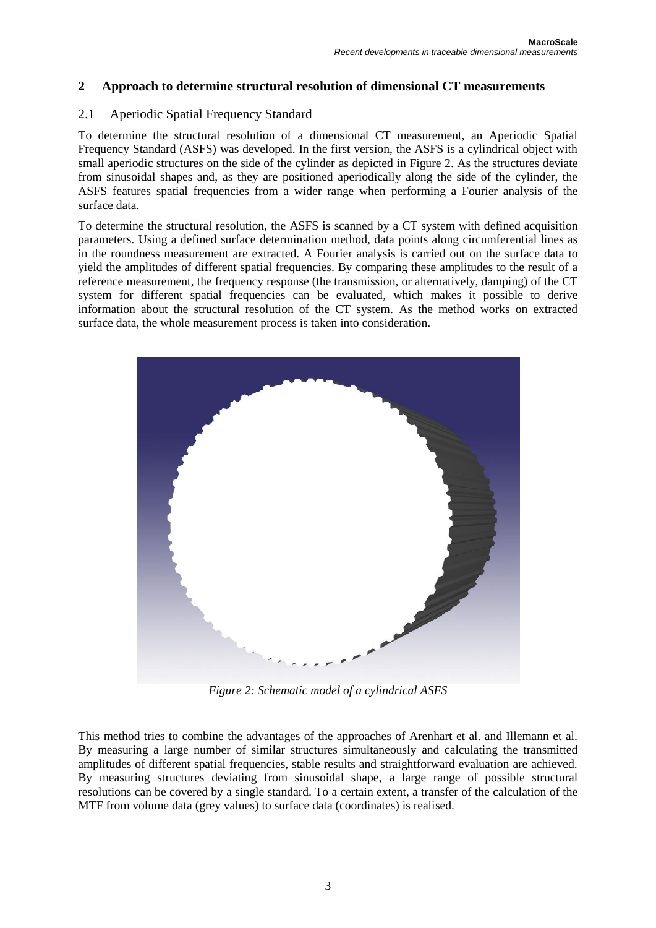## **2 Approach to determine structural resolution of dimensional CT measurements**

### 2.1 Aperiodic Spatial Frequency Standard

To determine the structural resolution of a dimensional CT measurement, an Aperiodic Spatial Frequency Standard (ASFS) was developed. In the first version, the ASFS is a cylindrical object with small aperiodic structures on the side of the cylinder as depicted in [Figure 2.](#page-2-0) As the structures deviate from sinusoidal shapes and, as they are positioned aperiodically along the side of the cylinder, the ASFS features spatial frequencies from a wider range when performing a Fourier analysis of the surface data.

To determine the structural resolution, the ASFS is scanned by a CT system with defined acquisition parameters. Using a defined surface determination method, data points along circumferential lines as in the roundness measurement are extracted. A Fourier analysis is carried out on the surface data to yield the amplitudes of different spatial frequencies. By comparing these amplitudes to the result of a reference measurement, the frequency response (the transmission, or alternatively, damping) of the CT system for different spatial frequencies can be evaluated, which makes it possible to derive information about the structural resolution of the CT system. As the method works on extracted surface data, the whole measurement process is taken into consideration.



*Figure 2: Schematic model of a cylindrical ASFS*

<span id="page-2-0"></span>This method tries to combine the advantages of the approaches of Arenhart et al. and Illemann et al. By measuring a large number of similar structures simultaneously and calculating the transmitted amplitudes of different spatial frequencies, stable results and straightforward evaluation are achieved. By measuring structures deviating from sinusoidal shape, a large range of possible structural resolutions can be covered by a single standard. To a certain extent, a transfer of the calculation of the MTF from volume data (grey values) to surface data (coordinates) is realised.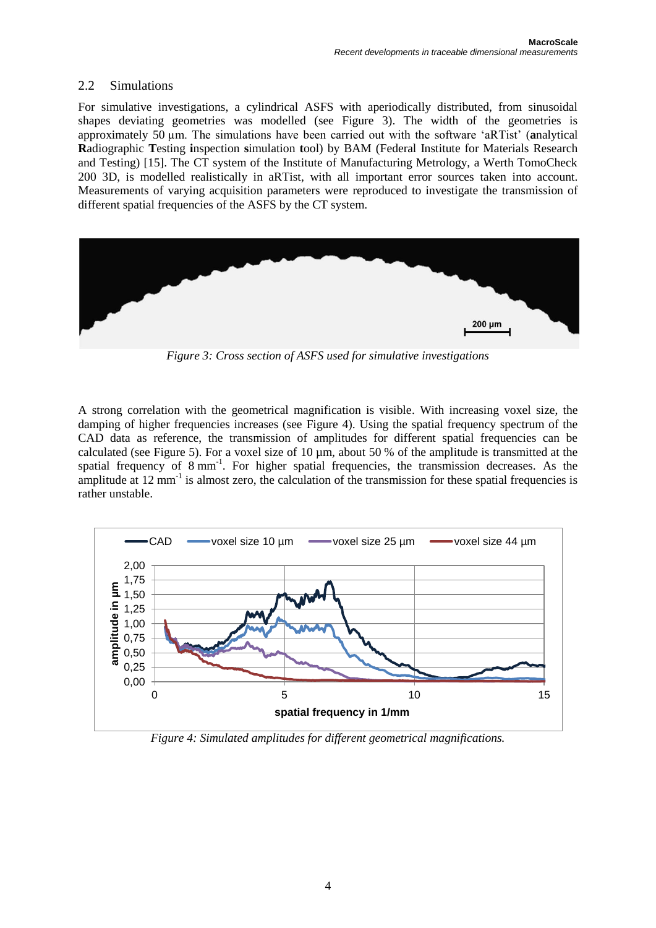### 2.2 Simulations

For simulative investigations, a cylindrical ASFS with aperiodically distributed, from sinusoidal shapes deviating geometries was modelled (see [Figure 3\)](#page-3-0). The width of the geometries is approximately 50 µm. The simulations have been carried out with the software 'aRTist' (**a**nalytical **R**adiographic **T**esting **i**nspection **s**imulation **t**ool) by BAM (Federal Institute for Materials Research and Testing) [15]. The CT system of the Institute of Manufacturing Metrology, a Werth TomoCheck 200 3D, is modelled realistically in aRTist, with all important error sources taken into account. Measurements of varying acquisition parameters were reproduced to investigate the transmission of different spatial frequencies of the ASFS by the CT system.



*Figure 3: Cross section of ASFS used for simulative investigations*

<span id="page-3-0"></span>A strong correlation with the geometrical magnification is visible. With increasing voxel size, the damping of higher frequencies increases (see [Figure 4\)](#page-3-1). Using the spatial frequency spectrum of the CAD data as reference, the transmission of amplitudes for different spatial frequencies can be calculated (see [Figure 5\)](#page-4-0). For a voxel size of 10 µm, about 50 % of the amplitude is transmitted at the spatial frequency of 8 mm<sup>-1</sup>. For higher spatial frequencies, the transmission decreases. As the amplitude at  $12 \text{ mm}^{-1}$  is almost zero, the calculation of the transmission for these spatial frequencies is rather unstable.



<span id="page-3-1"></span>*Figure 4: Simulated amplitudes for different geometrical magnifications.*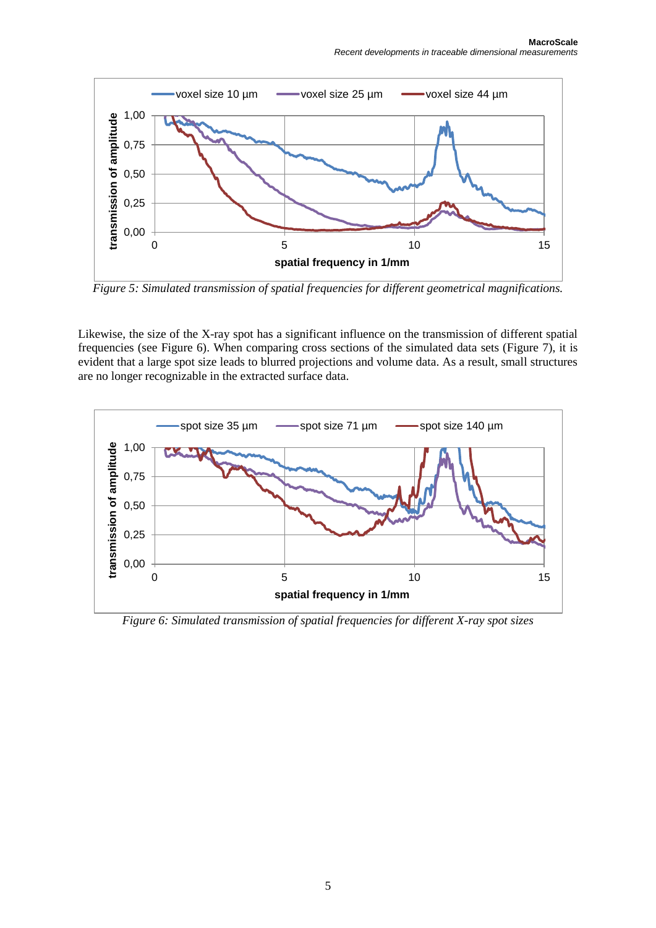

<span id="page-4-0"></span>*Figure 5: Simulated transmission of spatial frequencies for different geometrical magnifications.*

Likewise, the size of the X-ray spot has a significant influence on the transmission of different spatial frequencies (see [Figure 6\)](#page-4-1). When comparing cross sections of the simulated data sets [\(Figure 7\)](#page-5-0), it is evident that a large spot size leads to blurred projections and volume data. As a result, small structures are no longer recognizable in the extracted surface data.



<span id="page-4-1"></span>*Figure 6: Simulated transmission of spatial frequencies for different X-ray spot sizes*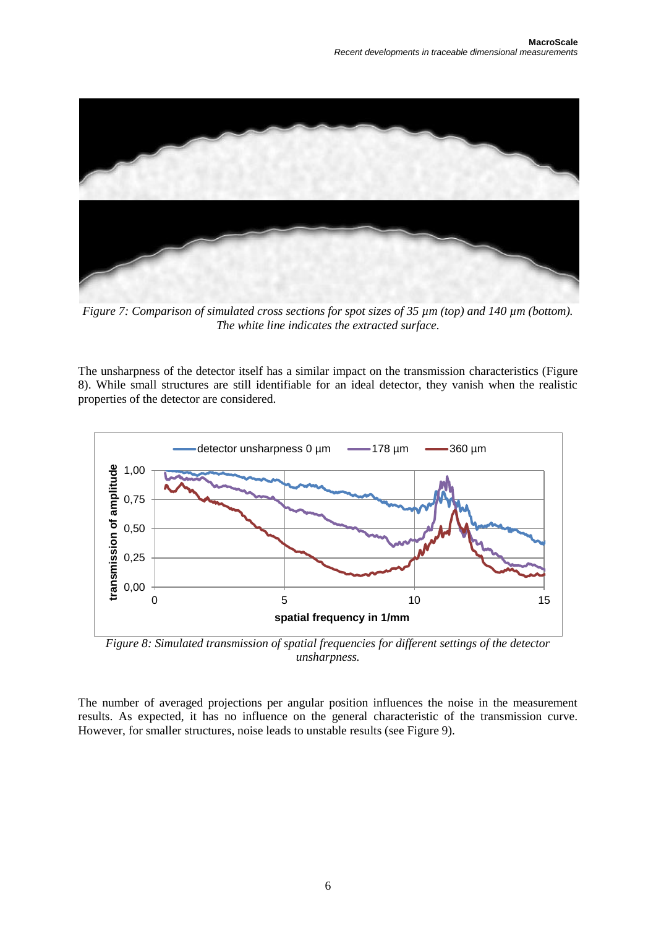

*Figure 7: Comparison of simulated cross sections for spot sizes of 35 µm (top) and 140 µm (bottom). The white line indicates the extracted surface.*

<span id="page-5-0"></span>The unsharpness of the detector itself has a similar impact on the transmission characteristics [\(Figure](#page-5-1)  [8\)](#page-5-1). While small structures are still identifiable for an ideal detector, they vanish when the realistic properties of the detector are considered.



<span id="page-5-1"></span>*Figure 8: Simulated transmission of spatial frequencies for different settings of the detector unsharpness.*

The number of averaged projections per angular position influences the noise in the measurement results. As expected, it has no influence on the general characteristic of the transmission curve. However, for smaller structures, noise leads to unstable results (see [Figure 9\)](#page-6-0).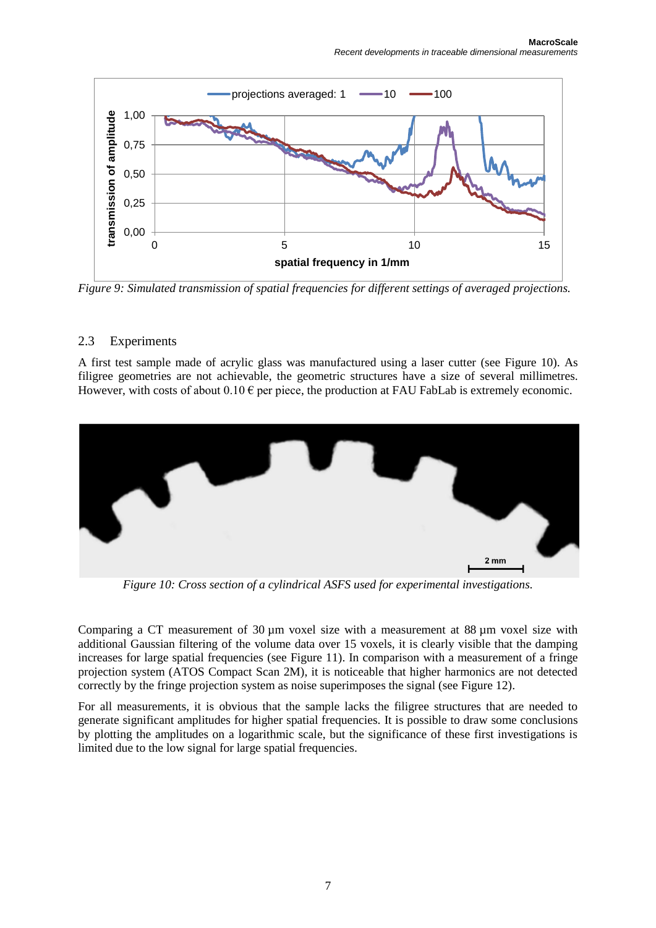

<span id="page-6-0"></span>*Figure 9: Simulated transmission of spatial frequencies for different settings of averaged projections.*

### 2.3 Experiments

A first test sample made of acrylic glass was manufactured using a laser cutter (see [Figure 10\)](#page-6-1). As filigree geometries are not achievable, the geometric structures have a size of several millimetres. However, with costs of about  $0.10 \in \text{per}$  piece, the production at FAU FabLab is extremely economic.



*Figure 10: Cross section of a cylindrical ASFS used for experimental investigations.*

<span id="page-6-1"></span>Comparing a CT measurement of 30 µm voxel size with a measurement at 88 µm voxel size with additional Gaussian filtering of the volume data over 15 voxels, it is clearly visible that the damping increases for large spatial frequencies (see [Figure 11\)](#page-7-0). In comparison with a measurement of a fringe projection system (ATOS Compact Scan 2M), it is noticeable that higher harmonics are not detected correctly by the fringe projection system as noise superimposes the signal (see [Figure 12\)](#page-7-1).

For all measurements, it is obvious that the sample lacks the filigree structures that are needed to generate significant amplitudes for higher spatial frequencies. It is possible to draw some conclusions by plotting the amplitudes on a logarithmic scale, but the significance of these first investigations is limited due to the low signal for large spatial frequencies.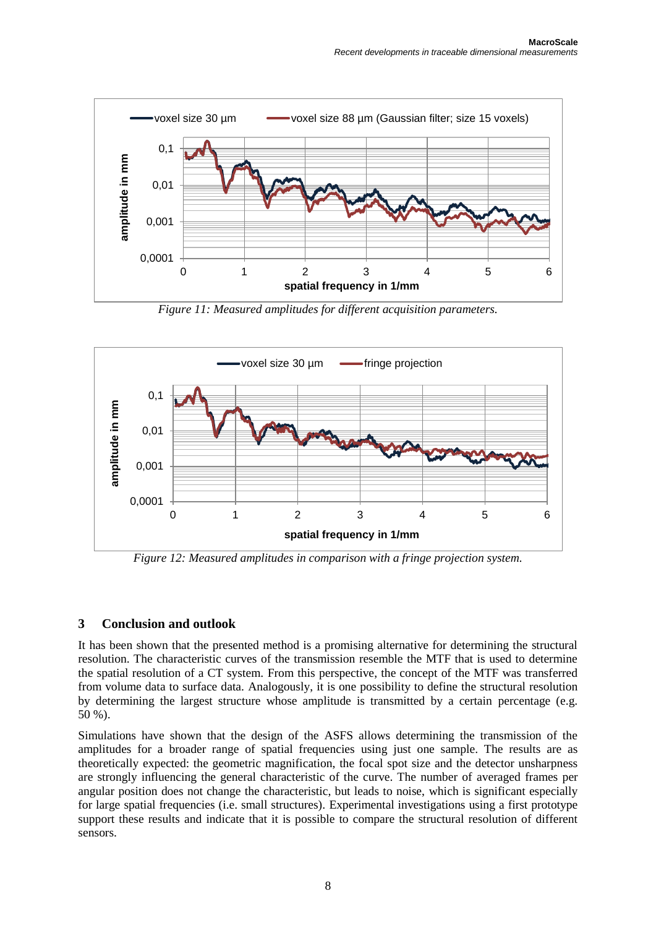

*Figure 11: Measured amplitudes for different acquisition parameters.*

<span id="page-7-0"></span>

<span id="page-7-1"></span>*Figure 12: Measured amplitudes in comparison with a fringe projection system.*

## **3 Conclusion and outlook**

It has been shown that the presented method is a promising alternative for determining the structural resolution. The characteristic curves of the transmission resemble the MTF that is used to determine the spatial resolution of a CT system. From this perspective, the concept of the MTF was transferred from volume data to surface data. Analogously, it is one possibility to define the structural resolution by determining the largest structure whose amplitude is transmitted by a certain percentage (e.g. 50 %).

Simulations have shown that the design of the ASFS allows determining the transmission of the amplitudes for a broader range of spatial frequencies using just one sample. The results are as theoretically expected: the geometric magnification, the focal spot size and the detector unsharpness are strongly influencing the general characteristic of the curve. The number of averaged frames per angular position does not change the characteristic, but leads to noise, which is significant especially for large spatial frequencies (i.e. small structures). Experimental investigations using a first prototype support these results and indicate that it is possible to compare the structural resolution of different sensors.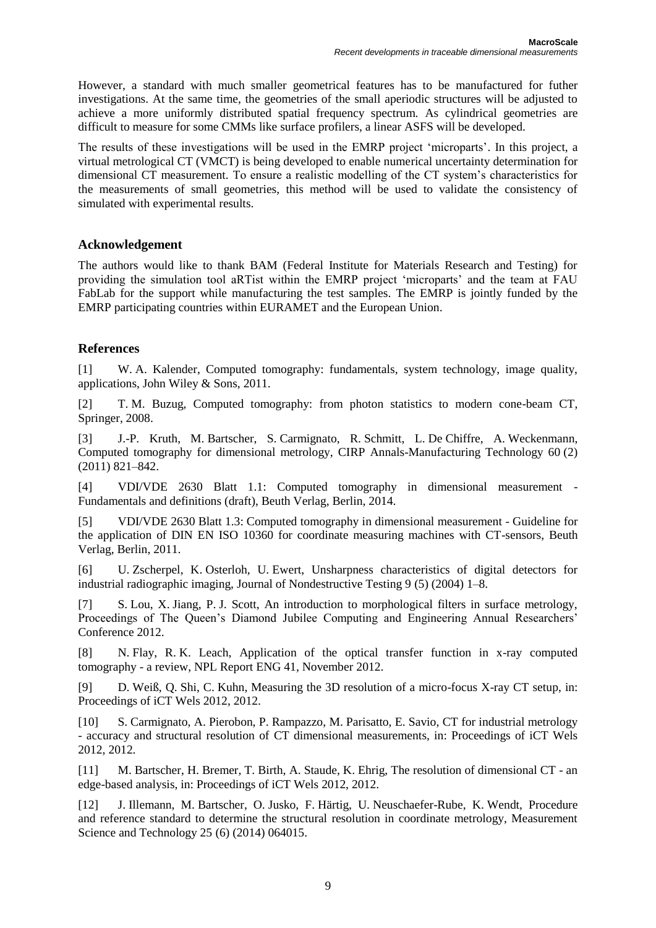However, a standard with much smaller geometrical features has to be manufactured for futher investigations. At the same time, the geometries of the small aperiodic structures will be adjusted to achieve a more uniformly distributed spatial frequency spectrum. As cylindrical geometries are difficult to measure for some CMMs like surface profilers, a linear ASFS will be developed.

The results of these investigations will be used in the EMRP project 'microparts'. In this project, a virtual metrological CT (VMCT) is being developed to enable numerical uncertainty determination for dimensional CT measurement. To ensure a realistic modelling of the CT system's characteristics for the measurements of small geometries, this method will be used to validate the consistency of simulated with experimental results.

### **Acknowledgement**

The authors would like to thank BAM (Federal Institute for Materials Research and Testing) for providing the simulation tool aRTist within the EMRP project 'microparts' and the team at FAU FabLab for the support while manufacturing the test samples. The EMRP is jointly funded by the EMRP participating countries within EURAMET and the European Union.

### **References**

[1] W. A. Kalender, Computed tomography: fundamentals, system technology, image quality, applications, John Wiley & Sons, 2011.

[2] T. M. Buzug, Computed tomography: from photon statistics to modern cone-beam CT, Springer, 2008.

[3] J.-P. Kruth, M. Bartscher, S. Carmignato, R. Schmitt, L. De Chiffre, A. Weckenmann, Computed tomography for dimensional metrology, CIRP Annals-Manufacturing Technology 60 (2) (2011) 821–842.

[4] VDI/VDE 2630 Blatt 1.1: Computed tomography in dimensional measurement - Fundamentals and definitions (draft), Beuth Verlag, Berlin, 2014.

[5] VDI/VDE 2630 Blatt 1.3: Computed tomography in dimensional measurement - Guideline for the application of DIN EN ISO 10360 for coordinate measuring machines with CT-sensors, Beuth Verlag, Berlin, 2011.

[6] U. Zscherpel, K. Osterloh, U. Ewert, Unsharpness characteristics of digital detectors for industrial radiographic imaging, Journal of Nondestructive Testing 9 (5) (2004) 1–8.

[7] S. Lou, X. Jiang, P. J. Scott, An introduction to morphological filters in surface metrology, Proceedings of The Queen's Diamond Jubilee Computing and Engineering Annual Researchers' Conference 2012.

[8] N. Flay, R. K. Leach, Application of the optical transfer function in x-ray computed tomography - a review, NPL Report ENG 41, November 2012.

[9] D. Weiß, Q. Shi, C. Kuhn, Measuring the 3D resolution of a micro-focus X-ray CT setup, in: Proceedings of iCT Wels 2012, 2012.

[10] S. Carmignato, A. Pierobon, P. Rampazzo, M. Parisatto, E. Savio, CT for industrial metrology - accuracy and structural resolution of CT dimensional measurements, in: Proceedings of iCT Wels 2012, 2012.

[11] M. Bartscher, H. Bremer, T. Birth, A. Staude, K. Ehrig, The resolution of dimensional CT - an edge-based analysis, in: Proceedings of iCT Wels 2012, 2012.

[12] J. Illemann, M. Bartscher, O. Jusko, F. Härtig, U. Neuschaefer-Rube, K. Wendt, Procedure and reference standard to determine the structural resolution in coordinate metrology, Measurement Science and Technology 25 (6) (2014) 064015.